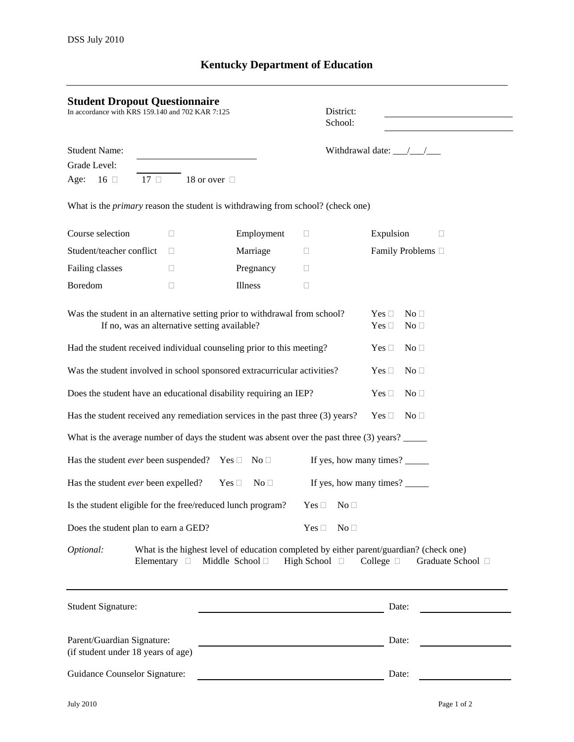## **Kentucky Department of Education**

| <b>Student Dropout Questionnaire</b><br>In accordance with KRS 159.140 and 702 KAR 7:125                                   |                                        |                                      | District:<br>School:                  |                                                                                                                                            |  |
|----------------------------------------------------------------------------------------------------------------------------|----------------------------------------|--------------------------------------|---------------------------------------|--------------------------------------------------------------------------------------------------------------------------------------------|--|
| <b>Student Name:</b>                                                                                                       |                                        |                                      | Withdrawal date: $\frac{\sqrt{2}}{2}$ |                                                                                                                                            |  |
| Grade Level:                                                                                                               |                                        |                                      |                                       |                                                                                                                                            |  |
| Age:<br>$16$ $\Box$<br>$17 \square$                                                                                        | 18 or over □                           |                                      |                                       |                                                                                                                                            |  |
| What is the <i>primary</i> reason the student is withdrawing from school? (check one)                                      |                                        |                                      |                                       |                                                                                                                                            |  |
| Course selection                                                                                                           | □                                      | Employment                           | u                                     | Expulsion<br>Ш                                                                                                                             |  |
| Student/teacher conflict                                                                                                   | П                                      | Marriage                             | u                                     | Family Problems □                                                                                                                          |  |
| Failing classes                                                                                                            | П                                      | Pregnancy                            | $\Box$                                |                                                                                                                                            |  |
| Boredom                                                                                                                    | П                                      | Illness                              | □                                     |                                                                                                                                            |  |
| Was the student in an alternative setting prior to withdrawal from school?<br>If no, was an alternative setting available? |                                        |                                      |                                       | Yes $\square$<br>No <sub>1</sub><br>Yes $\square$<br>No <sub>1</sub>                                                                       |  |
| Had the student received individual counseling prior to this meeting?                                                      |                                        |                                      |                                       | No <sub>1</sub><br>Yes $\square$                                                                                                           |  |
| Was the student involved in school sponsored extracurricular activities?                                                   |                                        |                                      |                                       | Yes $\square$<br>No <sub>1</sub>                                                                                                           |  |
| Does the student have an educational disability requiring an IEP?                                                          |                                        | Yes $\square$<br>No <sub>1</sub>     |                                       |                                                                                                                                            |  |
| Has the student received any remediation services in the past three (3) years?                                             |                                        |                                      |                                       | Yes $\square$<br>No <sub>1</sub>                                                                                                           |  |
| What is the average number of days the student was absent over the past three (3) years?                                   |                                        |                                      |                                       |                                                                                                                                            |  |
| Has the student <i>ever</i> been suspended? Yes $\Box$ No $\Box$                                                           |                                        |                                      |                                       | If yes, how many times?                                                                                                                    |  |
| Has the student ever been expelled?                                                                                        |                                        | $\mathrm{No}\ \Box$<br>Yes $\square$ |                                       | If yes, how many times?                                                                                                                    |  |
| Is the student eligible for the free/reduced lunch program? Yes $\Box$ No $\Box$                                           |                                        |                                      |                                       |                                                                                                                                            |  |
| Does the student plan to earn a GED?                                                                                       |                                        |                                      | No <sub>1</sub><br>Yes $\square$      |                                                                                                                                            |  |
| Optional:                                                                                                                  | Elementary $\Box$ Middle School $\Box$ |                                      | High School $\Box$                    | What is the highest level of education completed by either parent/guardian? (check one)<br>College $\Box$<br>Graduate School <sup>[]</sup> |  |
| Student Signature:                                                                                                         |                                        |                                      |                                       | Date:                                                                                                                                      |  |
| Parent/Guardian Signature:<br>(if student under 18 years of age)                                                           |                                        |                                      |                                       | Date:                                                                                                                                      |  |
| <b>Guidance Counselor Signature:</b>                                                                                       |                                        |                                      |                                       | Date:                                                                                                                                      |  |